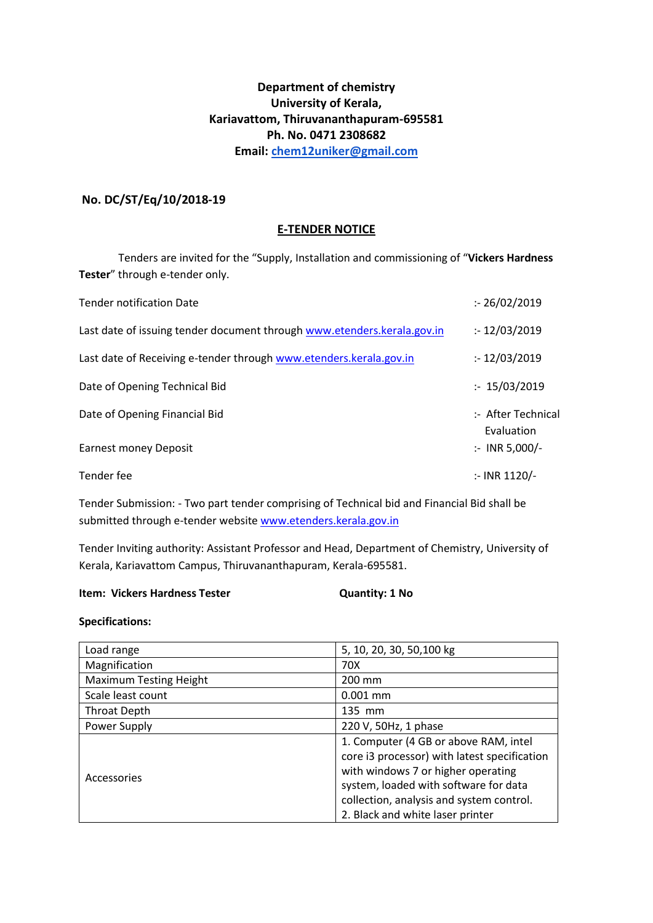# **Department of chemistry University of Kerala, Kariavattom, Thiruvananthapuram-695581 Ph. No. 0471 2308682 Email: [chem12uniker@gmail.com](mailto:chem12uniker@gmail.com)**

# **No. DC/ST/Eq/10/2018-19**

# **E-TENDER NOTICE**

Tenders are invited for the "Supply, Installation and commissioning of "**Vickers Hardness Tester**" through e-tender only.

| <b>Tender notification Date</b>                                         | : 26/02/2019                     |
|-------------------------------------------------------------------------|----------------------------------|
| Last date of issuing tender document through www.etenders.kerala.gov.in | : 12/03/2019                     |
| Last date of Receiving e-tender through www.etenders.kerala.gov.in      | : 12/03/2019                     |
| Date of Opening Technical Bid                                           | : 15/03/2019                     |
| Date of Opening Financial Bid                                           | :- After Technical<br>Evaluation |
| Earnest money Deposit                                                   | $:$ INR 5,000/-                  |
| Tender fee                                                              | :- INR 1120/-                    |

Tender Submission: - Two part tender comprising of Technical bid and Financial Bid shall be submitted through e-tender websit[e www.etenders.kerala.gov.in](http://www.etenders.kerala.gov.in/)

Tender Inviting authority: Assistant Professor and Head, Department of Chemistry, University of Kerala, Kariavattom Campus, Thiruvananthapuram, Kerala-695581.

### **Item: Vickers Hardness Tester Quantity: 1 No**

## **Specifications:**

| Load range                    | 5, 10, 20, 30, 50, 100 kg                    |
|-------------------------------|----------------------------------------------|
| Magnification                 | 70X                                          |
| <b>Maximum Testing Height</b> | 200 mm                                       |
| Scale least count             | $0.001$ mm                                   |
| <b>Throat Depth</b>           | 135 mm                                       |
| Power Supply                  | 220 V, 50Hz, 1 phase                         |
| Accessories                   | 1. Computer (4 GB or above RAM, intel        |
|                               | core i3 processor) with latest specification |
|                               | with windows 7 or higher operating           |
|                               | system, loaded with software for data        |
|                               | collection, analysis and system control.     |
|                               | 2. Black and white laser printer             |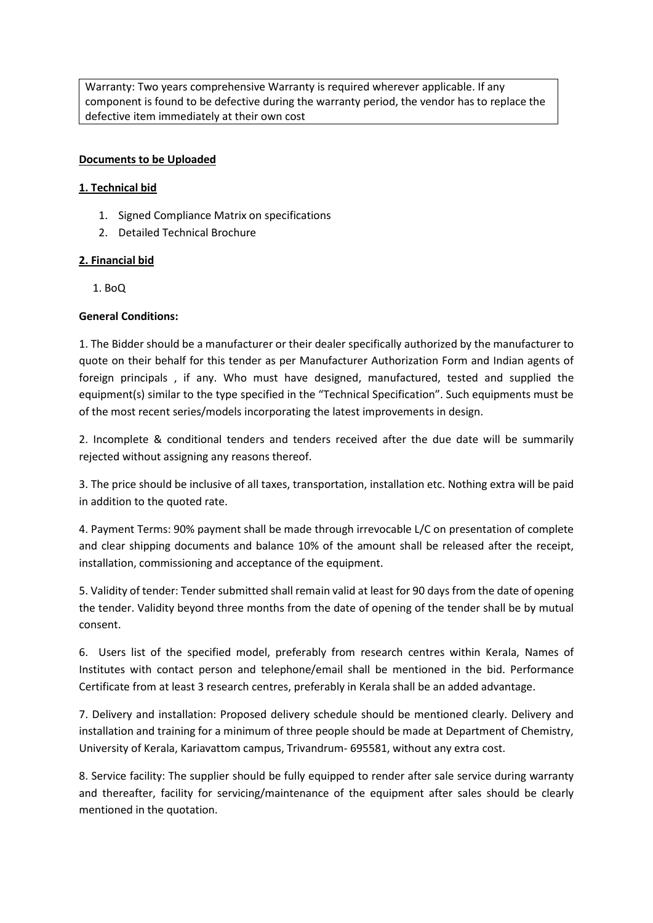Warranty: Two years comprehensive Warranty is required wherever applicable. If any component is found to be defective during the warranty period, the vendor has to replace the defective item immediately at their own cost

# **Documents to be Uploaded**

## **1. Technical bid**

- 1. Signed Compliance Matrix on specifications
- 2. Detailed Technical Brochure

## **2. Financial bid**

1. BoQ

## **General Conditions:**

1. The Bidder should be a manufacturer or their dealer specifically authorized by the manufacturer to quote on their behalf for this tender as per Manufacturer Authorization Form and Indian agents of foreign principals , if any. Who must have designed, manufactured, tested and supplied the equipment(s) similar to the type specified in the "Technical Specification". Such equipments must be of the most recent series/models incorporating the latest improvements in design.

2. Incomplete & conditional tenders and tenders received after the due date will be summarily rejected without assigning any reasons thereof.

3. The price should be inclusive of all taxes, transportation, installation etc. Nothing extra will be paid in addition to the quoted rate.

4. Payment Terms: 90% payment shall be made through irrevocable L/C on presentation of complete and clear shipping documents and balance 10% of the amount shall be released after the receipt, installation, commissioning and acceptance of the equipment.

5. Validity of tender: Tender submitted shall remain valid at least for 90 days from the date of opening the tender. Validity beyond three months from the date of opening of the tender shall be by mutual consent.

6. Users list of the specified model, preferably from research centres within Kerala, Names of Institutes with contact person and telephone/email shall be mentioned in the bid. Performance Certificate from at least 3 research centres, preferably in Kerala shall be an added advantage.

7. Delivery and installation: Proposed delivery schedule should be mentioned clearly. Delivery and installation and training for a minimum of three people should be made at Department of Chemistry, University of Kerala, Kariavattom campus, Trivandrum- 695581, without any extra cost.

8. Service facility: The supplier should be fully equipped to render after sale service during warranty and thereafter, facility for servicing/maintenance of the equipment after sales should be clearly mentioned in the quotation.